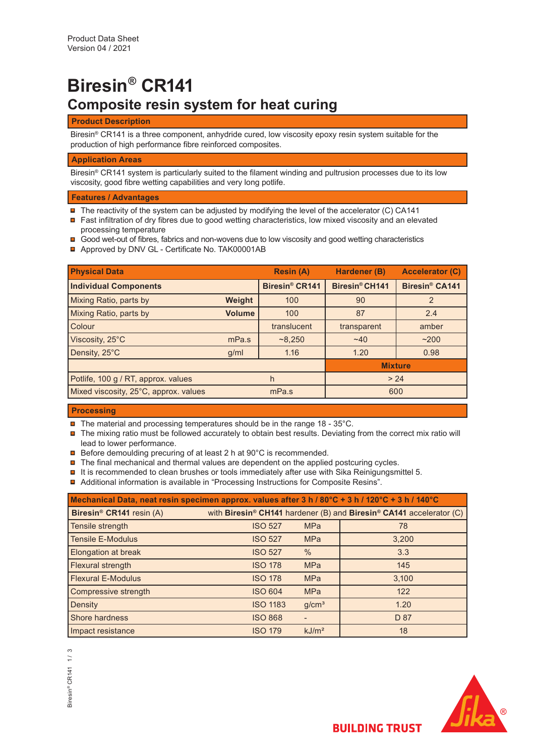# **Biresin® CR141 Composite resin system for heat curing**

## **Product Description**

Biresin® CR141 is a three component, anhydride cured, low viscosity epoxy resin system suitable for the production of high performance fibre reinforced composites.

## **Application Areas**

Biresin® CR141 system is particularly suited to the filament winding and pultrusion processes due to its low viscosity, good fibre wetting capabilities and very long potlife.

### **Features / Advantages**

- $\blacksquare$  The reactivity of the system can be adjusted by modifying the level of the accelerator (C) CA141
- Fast infiltration of dry fibres due to good wetting characteristics, low mixed viscosity and an elevated processing temperature
- Good wet-out of fibres, fabrics and non-wovens due to low viscosity and good wetting characteristics
- Approved by DNV GL Certificate No. TAK00001AB

|               | <b>Resin (A)</b>           | Hardener (B)   | <b>Accelerator (C)</b>     |
|---------------|----------------------------|----------------|----------------------------|
|               | Biresin <sup>®</sup> CR141 | Biresin® CH141 | Biresin <sup>®</sup> CA141 |
| Weight        | 100                        | 90             | 2                          |
| <b>Volume</b> | 100                        | 87             | 2.4                        |
|               | translucent                | transparent    | amber                      |
| mPa.s         | ~8,250                     | $~1$ $~40$     | ~200                       |
| g/ml          | 1.16                       | 1.20           | 0.98                       |
|               |                            | <b>Mixture</b> |                            |
|               | h                          | > 24           |                            |
|               | mPa.s                      | 600            |                            |
|               |                            |                |                            |

#### **Processing**

- $\blacksquare$  The material and processing temperatures should be in the range 18 35°C.
- $\blacksquare$  The mixing ratio must be followed accurately to obtain best results. Deviating from the correct mix ratio will lead to lower performance.
- **□** Before demoulding precuring of at least 2 h at 90°C is recommended.
- $\blacksquare$  The final mechanical and thermal values are dependent on the applied postcuring cycles.
- $\blacksquare$  It is recommended to clean brushes or tools immediately after use with Sika Reinigungsmittel 5.
- Additional information is available in "Processing Instructions for Composite Resins".

| Mechanical Data, neat resin specimen approx. values after 3 h / 80°C + 3 h / 120°C + 3 h / 140°C |                 |                   |                                                                     |  |  |
|--------------------------------------------------------------------------------------------------|-----------------|-------------------|---------------------------------------------------------------------|--|--|
| Biresin <sup>®</sup> CR141 resin (A)                                                             |                 |                   | with Biresin® CH141 hardener (B) and Biresin® CA141 accelerator (C) |  |  |
| Tensile strength                                                                                 | <b>ISO 527</b>  | <b>MPa</b>        | 78                                                                  |  |  |
| <b>Tensile E-Modulus</b>                                                                         | <b>ISO 527</b>  | <b>MPa</b>        | 3,200                                                               |  |  |
| <b>Elongation at break</b>                                                                       | <b>ISO 527</b>  | $\%$              | 3.3                                                                 |  |  |
| Flexural strength                                                                                | <b>ISO 178</b>  | <b>MPa</b>        | 145                                                                 |  |  |
| <b>Flexural E-Modulus</b>                                                                        | <b>ISO 178</b>  | <b>MPa</b>        | 3.100                                                               |  |  |
| Compressive strength                                                                             | <b>ISO 604</b>  | <b>MPa</b>        | 122                                                                 |  |  |
| Density                                                                                          | <b>ISO 1183</b> | g/cm <sup>3</sup> | 1.20                                                                |  |  |
| Shore hardness                                                                                   | <b>ISO 868</b>  |                   | D 87                                                                |  |  |
| Impact resistance                                                                                | <b>ISO 179</b>  | kJ/m <sup>2</sup> | 18                                                                  |  |  |



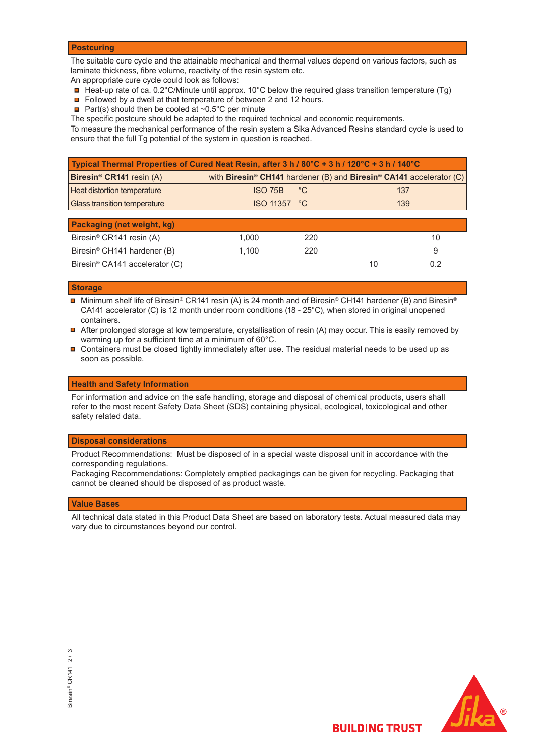#### **Postcuring**

The suitable cure cycle and the attainable mechanical and thermal values depend on various factors, such as laminate thickness, fibre volume, reactivity of the resin system etc.

An appropriate cure cycle could look as follows:

- $\blacksquare$  Heat-up rate of ca. 0.2°C/Minute until approx. 10°C below the required glass transition temperature (Tg)
- Followed by a dwell at that temperature of between 2 and 12 hours.
- **Part(s)** should then be cooled at  $\sim 0.5^{\circ}$ C per minute
- The specific postcure should be adapted to the required technical and economic requirements.

To measure the mechanical performance of the resin system a Sika Advanced Resins standard cycle is used to ensure that the full Tg potential of the system in question is reached.

| with Biresin <sup>®</sup> CH141 hardener (B) and Biresin <sup>®</sup> CA141 accelerator (C) |
|---------------------------------------------------------------------------------------------|
|                                                                                             |
|                                                                                             |
|                                                                                             |
|                                                                                             |
| 10                                                                                          |
|                                                                                             |
| 9                                                                                           |

Biresin® CA141 accelerator (C) 10 0.2

#### **Storage**

■ Minimum shelf life of Biresin® CR141 resin (A) is 24 month and of Biresin® CH141 hardener (B) and Biresin® CA141 accelerator (C) is 12 month under room conditions (18 - 25°C), when stored in original unopened containers.

- After prolonged storage at low temperature, crystallisation of resin (A) may occur. This is easily removed by warming up for a sufficient time at a minimum of 60°C.
- Containers must be closed tightly immediately after use. The residual material needs to be used up as soon as possible.

#### **Health and Safety Information**

For information and advice on the safe handling, storage and disposal of chemical products, users shall refer to the most recent Safety Data Sheet (SDS) containing physical, ecological, toxicological and other safety related data.

#### **Disposal considerations**

Product Recommendations: Must be disposed of in a special waste disposal unit in accordance with the corresponding regulations.

Packaging Recommendations: Completely emptied packagings can be given for recycling. Packaging that cannot be cleaned should be disposed of as product waste.

#### **Value Bases**

All technical data stated in this Product Data Sheet are based on laboratory tests. Actual measured data may vary due to circumstances beyond our control.